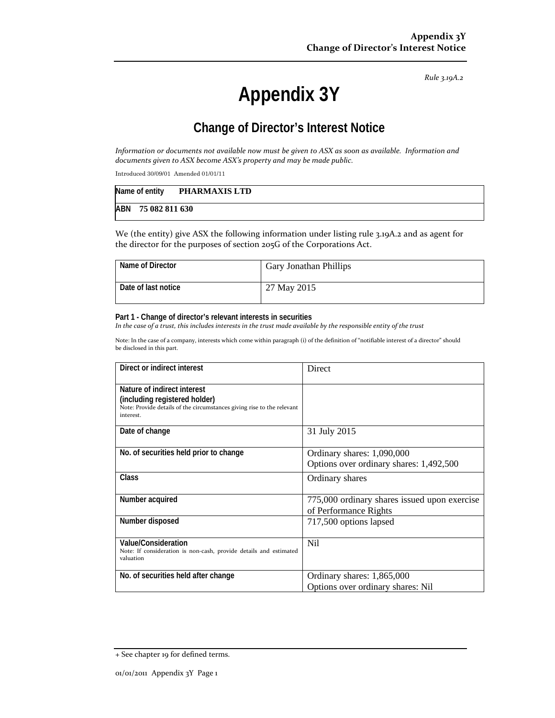*Rule 3.19A.2*

# **Appendix 3Y**

## **Change of Director's Interest Notice**

Information or documents not available now must be given to ASX as soon as available. Information and *documents given to ASX become ASX's property and may be made public.*

Introduced 30/09/01 Amended 01/01/11

| Name of entity |                | <b>PHARMAXIS LTD</b> |
|----------------|----------------|----------------------|
| ABN            | 75 082 811 630 |                      |

We (the entity) give ASX the following information under listing rule 3.19A.2 and as agent for the director for the purposes of section 205G of the Corporations Act.

| Name of Director    | <b>Gary Jonathan Phillips</b> |
|---------------------|-------------------------------|
| Date of last notice | 27 May 2015                   |

#### **Part 1 - Change of director's relevant interests in securities**

In the case of a trust, this includes interests in the trust made available by the responsible entity of the trust

Note: In the case of a company, interests which come within paragraph (i) of the definition of "notifiable interest of a director" should be disclosed in this part.

| Direct or indirect interest                                                                                                                         | Direct                                                                |
|-----------------------------------------------------------------------------------------------------------------------------------------------------|-----------------------------------------------------------------------|
| Nature of indirect interest<br>(including registered holder)<br>Note: Provide details of the circumstances giving rise to the relevant<br>interest. |                                                                       |
| Date of change                                                                                                                                      | 31 July 2015                                                          |
| No. of securities held prior to change                                                                                                              | Ordinary shares: 1,090,000<br>Options over ordinary shares: 1,492,500 |
| Class                                                                                                                                               | Ordinary shares                                                       |
| Number acquired                                                                                                                                     | 775,000 ordinary shares issued upon exercise<br>of Performance Rights |
| Number disposed                                                                                                                                     | 717,500 options lapsed                                                |
| Value/Consideration<br>Note: If consideration is non-cash, provide details and estimated<br>valuation                                               | Nil                                                                   |
| No. of securities held after change                                                                                                                 | Ordinary shares: 1,865,000<br>Options over ordinary shares: Nil       |

<sup>+</sup> See chapter 19 for defined terms.